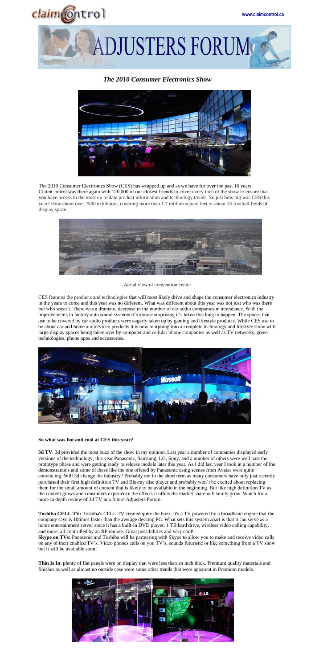

**ADJUSTERS FORUM** 

## *The 2010 Consumer Electronics Show*



The 2010 Consumer Electronics Show (CES) has wrapped up and as we have for over the past 16 years ClaimControl was there again with 120,000 of our closest friends to cover every inch of the show to ensure that you have access to the most up to date product information and technology trends. So just how big was CES this year? How about over 2500 exhibitors, covering more than 1.7 million square feet or about 35 football fields of display space.



Aerial view of convention center

CES features the products and technologies that will most likely drive and shape the consumer electronics industry in the years to come and this year was no different. What was different about this year was not just who was there but who wasn't. There was a dramatic decrease in the number of car audio companies in attendance. With the improvements in factory auto sound systems it's almost surprising it's taken this long to happen. The spaces that use to be covered by car audio products were eagerly taken up by gaming and lifestyle products. While CES use to be about car and home audio/video products it is now morphing into a complete technology and lifestyle show with large display spaces being taken over by computer and cellular phone companies as well as TV networks, green technologies, phone apps and accessories.



**3d TV**: 3d provided the most buzz of the show in my opinion. Last year a number of companies displayed early versions of the technology; this year Panasonic, Samsung, LG, Sony, and a number of others were well past the prototype phase and were getting ready to release models later this year. As I did last year I took in a number of the demonstrations and some of these like the one offered by Panasonic using scenes from Avatar were quite convincing. Will 3d change the industry? Probably not in the short term as many consumers have only just recently purchased their first high definition TV and Blu-ray disc player and probably won't be excited about replacing them for the small amount of content that is likely to be available in the beginning. But like high definition TV as the content grows and consumers experience the effects it offers the market share will surely grow. Watch for a more in depth review of 3d TV in a future Adjusters Forum.

## **So what was hot and cool at CES this year?**

**Skype on TVs:** Panasonic and Toshiba will be partnering with Skype to allow you to make and receive video calls on any of their enabled TV's. Video phones calls on you TV's, sounds futuristic or like something from a TV show but it will be available soon!

**Toshiba CELL TV:** Toshiba's CELL TV created quite the buzz. It's a TV powered by a broadband engine that the company says is 10times faster than the average desktop PC. What sets this system apart is that it can serve as a home entertainment server since it has a built-in DVD player, 1 TB hard drive, wireless video calling capability, and more, all controlled by an RF remote. Great possibilities and very cool!

**Thin Is In**: plenty of flat panels were on display that were less than an inch thick. Premium quality materials and finishes as well as almost no outside case were some other trends that were apparent in Premium models.